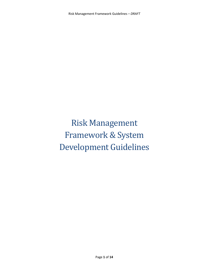Risk Management Framework & System Development Guidelines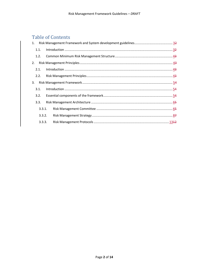# **Table of Contents**

|    | 1.1.   |                                                                                                                                                                                                                                             |
|----|--------|---------------------------------------------------------------------------------------------------------------------------------------------------------------------------------------------------------------------------------------------|
|    | 1.2.   |                                                                                                                                                                                                                                             |
| 2. |        |                                                                                                                                                                                                                                             |
|    | 2.1.   | $\label{lem:1} \mbox{Introduction} \,\, \ldots \,\, \ldots \,\, \ldots \,\, \ldots \,\, \ldots \,\, \ldots \,\, \ldots \,\, \ldots \,\, \ldots \,\, \ldots \,\, \ldots \,\, \ldots \,\, \ldots \,\, \ldots \,\, \ldots \,\, \underline{43}$ |
|    | 2.2.   |                                                                                                                                                                                                                                             |
| 3. |        |                                                                                                                                                                                                                                             |
|    | 3.1.   |                                                                                                                                                                                                                                             |
|    | 3.2.   |                                                                                                                                                                                                                                             |
|    | 3.3.   |                                                                                                                                                                                                                                             |
|    | 3.3.1. |                                                                                                                                                                                                                                             |
|    | 3.3.2. |                                                                                                                                                                                                                                             |
|    | 3.3.3. |                                                                                                                                                                                                                                             |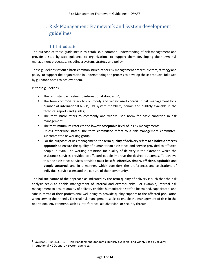# 1. Risk Management Framework and System development guidelines

## 1.1.Introduction

The purpose of these guidelines is to establish a common understanding of risk management and provide a step by step guidance to organizations to support them developing their own risk management processes, including a system, strategy and policy.

These guidelines set out a basic common structure for risk management process, system, strategy and policy, to support the organization in understanding the process to develop these products, followed by guidance notes to achieve them.

In these guidelines:

1

- The term standard refers to international standards<sup>1</sup>;
- The term common refers to commonly and widely used criteria in risk management by a number of international NGOs, UN system members, donors and publicly available in the technical reports and guides;
- The term basic refers to commonly and widely used norm for basic condition in risk management;
- The term minimum refers to the lowest acceptable level of in risk management; Unless otherwise stated, the term committee refers to a risk management committee, subcommittee or working group;
- For the purposes of risk management, the term quality of delivery refers to a holistic process approach to ensure the quality of humanitarian assistance and service provided to affected people in Syria. The working definition for quality of delivery is the extent to which the assistance services provided to affected people improve the desired outcomes. To achieve this, the assistance services provided must be safe, effective, timely, efficient, equitable and people-centered, and in a manner, which considers the preferences and aspirations of individual service users and the culture of their community.

The holistic nature of the approach as indicated by the term quality of delivery is such that the risk analysis seeks to enable management of internal and external risks. For example, internal risk management to ensure quality of delivery enables humanitarian staff to be trained, capacitated, and safe in terms of their professional well-being to provide quality support to the affected population when serving their needs. External risk management seeks to enable the management of risks in the operational environment, such as interference, aid diversion, or security threats.

<sup>&</sup>lt;sup>1</sup> ISO31000, 31004, 31010 - Risk Management Standards, publicly available, and widely used by several international NGOs and UN system agencies.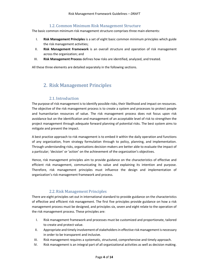## 1.2. Common Minimum Risk Management Structure

The basic common minimum risk management structure comprises three main elements:

- I. Risk Management Principles is a set of eight basic common minimum principles which guide the risk management activities;
- II. Risk Management Framework is an overall structure and operation of risk management across the organization; and
- III. Risk Management Process defines how risks are identified, analyzed, and treated.

All these three elements are detailed separately in the following sections.

## 2. Risk Management Principles

### 2.1.Introduction

The purpose of risk management is to identify possible risks, their likelihood and impact on resources. The objective of the risk management process is to create a system and processes to protect people and humanitarian resources of value. The risk management process does not focus upon risk avoidance but on the identification and management of an acceptable level of risk to strengthen the project management through adequate forward planning of potential risks. The best system aims to mitigate and prevent the impact.

A best practice approach to risk management is to embed it within the daily operation and functions of any organization, from strategy formulation through to policy, planning, and implementation. Through understanding risks, organisations decision-makers are better able to evaluate the impact of a particular; 'decision' or 'action' on the achievement of the organization's objectives.

Hence, risk management principles aim to provide guidance on the characteristics of effective and efficient risk management, communicating its value and explaining its intention and purpose. Therefore, risk management principles must influence the design and implementation of organization's risk management framework and process.

#### 2.2.Risk Management Principles

There are eight principles set out in international standard to provide guidance on the characteristics of effective and efficient risk management. The first five principles provide guidance on how a risk management process must be designed, and principles six, seven and eight relate to the operation of the risk management process. These principles are:

- I. Risk management framework and processes must be customized and proportionate, tailored to create and protect value.
- II. Appropriate and timely involvement of stakeholders in effective risk management is necessary in order to be transparent and inclusive.
- III. Risk management requires a systematic, structured, comprehensive and timely approach.
- IV. Risk management is an integral part of all organizational activities as well as decision making.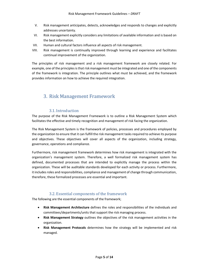- V. Risk management anticipates, detects, acknowledges and responds to changes and explicitly addresses uncertainty.
- VI. Risk management explicitly considers any limitations of available information and is based on the best information.
- VII. Human and cultural factors influence all aspects of risk management.
- VIII. Risk management is continually improved through learning and experience and facilitates continual improvement of the organization.

The principles of risk management and a risk management framework are closely related. For example, one of the principles is that risk management must be integrated and one of the components of the framework is integration. The principle outlines what must be achieved, and the framework provides information on how to achieve the required integration.

## 3. Risk Management Framework

## 3.1.Introduction

The purpose of the Risk Management Framework is to outline a Risk Management System which facilitates the effective and timely recognition and management of risk facing the organization.

The Risk Management System is the framework of policies, processes and procedures employed by the organization to ensure that it can fulfill the risk management tasks required to achieve its purpose and objectives. These objectives will cover all aspects of the organization, including strategy, governance, operations and compliance.

Furthermore, risk management framework determines how risk management is integrated with the organization's management system. Therefore, a well formalized risk management system has defined, documented processes that are intended to explicitly manage the process within the organization. These will be auditable standards developed for each activity or process. Furthermore, it includes roles and responsibilities, compliance and management of change through communication, therefore, these formalized processes are essential and important.

## 3.2. Essential components of the framework

The following are the essential components of the framework;

- Risk Management Architecture defines the roles and responsibilities of the individuals and committees/departments/units that support the risk managing process.
- Risk Management Strategy outlines the objectives of the risk management activities in the organization.
- Risk Management Protocols determines how the strategy will be implemented and risk managed.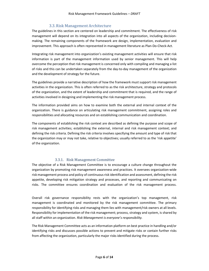## 3.3.Risk Management Architecture

The guidelines in this section are centered on leadership and commitment. The effectiveness of risk management will depend on its integration into all aspects of the organization, including decisionmaking. The remaining components of the framework are design, implementation, evaluation and improvement. This approach is often represented in management literature as Plan-Do-Check-Act.

Integrating risk management into organization's existing management activities will ensure that risk information is part of the management information used by senior management. This will help overcome the perception that risk management is concerned only with compiling and managing a list of risks and this can be undertaken separately from the day-to-day management of the organization and the development of strategy for the future.

The guidelines provide a narrative description of how the framework must support risk management activities in the organization. This is often referred to as the risk architecture, strategy and protocols of the organization, and the extent of leadership and commitment that is required, and the range of activities involved in designing and implementing the risk management process.

The information provided aims on how to examine both the external and internal context of the organization. There is guidance on articulating risk management commitment, assigning roles and responsibilities and allocating resources and on establishing communication and coordination.

The components of establishing the risk context are described as defining the purpose and scope of risk management activities; establishing the external, internal and risk management context; and defining the risk criteria. Defining the risk criteria involves specifying the amount and type of risk that the organization may or may not take, relative to objectives; usually referred to as the 'risk appetite' of the organization.

## 3.3.1. Risk Management Committee

The objective of a Risk Management Committee is to encourage a culture change throughout the organization by promoting risk management awareness and practices. It oversees organization-wide risk management process and policy of continuous risk identification and assessment, defining the risk appetite, developing risk mitigation strategy and processes, and reporting and communicating on risks. The committee ensures coordination and evaluation of the risk management process.

Overall risk governance responsibility rests with the organization's top management, risk management is coordinated and monitored by the risk management committee. The primary responsibility for identifying risks and managing them lies with management/risk owners at all levels. Responsibility for implementation of the risk management; process, strategy and system, is shared by all staff within an organization. Risk Management is everyone's responsibility.

The Risk Management Committee acts as an information platform on best practice in handling and/or identifying risks and discusses possible actions to prevent and mitigate risks or contain further risks from affecting the organization, particularly the major risks identified during the process.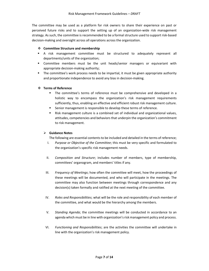The committee may be used as a platform for risk owners to share their experience on past or perceived future risks and to support the setting up of an organization-wide risk management strategy. As such, the committee is recommended to be a formal structure used to support risk-based decision-making and oversight across all operations across the organization.

#### ❖ Committee Structure and membership

- A risk management committee must be structured to adequately represent all departments/units of the organization;
- Committee members must be the unit heads/senior managers or equivariant with appropriate decision-making authority;
- **The committee's work process needs to be impartial, it must be given appropriate authority** and proportionate independence to avoid any bias in decision-making.

#### ❖ Terms of Reference

- The committee's terms of reference must be comprehensive and developed in a holistic way to encompass the organization's risk management requirements sufficiently, thus, enabling an effective and efficient robust risk management culture.
- Senior management is responsible to develop these terms of reference.
- Risk management culture is a combined set of individual and organizational values, attitudes, competencies and behaviors that underpin the organization's commitment to risk management.

#### $\triangleright$  Guidance Notes

The following are essential contents to be included and detailed in the terms of reference;

- I. Purpose or Objective of the Committee; this must be very specific and formulated to the organization's specific risk management needs.
- II. Composition and Structure; includes number of members, type of membership, committees' organogram, and members' titles if any.
- III. Frequency of Meetings; how often the committee will meet, how the proceedings of these meetings will be documented, and who will participate in the meetings. The committee may also function between meetings through correspondence and any decision(s) taken formally and ratified at the next meeting of the committee.
- IV. Roles and Responsibilities; what will be the role and responsibility of each member of the committee, and what would be the hierarchy among the members.
- V. Standing Agenda; the committee meetings will be conducted in accordance to an agenda which must be in line with organization's risk management policy and process.
- VI. Functioning and Responsibilities; are the activities the committee will undertake in line with the organization's risk management policy.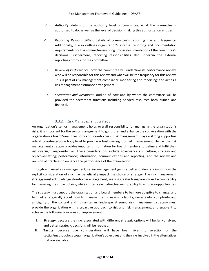- VII. Authority; details of the authority level of committee, what the committee is authorized to do, as well as the level of decision-making this authorization entitles.
- VIII. Reporting Responsibilities; details of committee's reporting line and frequency. Additionally, it also outlines organization's internal reporting and documentation requirements for the committee ensuring proper documentation of the committee's decisions. Furthermore, reporting responsibilities also underpin the external reporting controls for the committee.
	- IX. Review of Performance; how the committee will undertake its performance review, who will be responsible for this review and what will be the frequency for this review. This is part of risk management compliance monitoring and reporting; and act as a risk management assurance arrangement.
	- X. Secretariat and Resources: outline of how and by whom the committee will be provided the secretariat functions including needed resources both human and financial.

### 3.3.2. Risk Management Strategy

An organization's senior management holds overall responsibility for managing the organisation's risks; it is important for the senior management to go further and enhance the conversation with the organization's board/executive body and stakeholders. Risk management plays a strong supporting role at board/executive body level to provide robust oversight of risk management. Hence, the risk management strategy provides important information for board members to define and fulfil their risk oversight responsibilities. These considerations include governance and culture; strategy and objective-setting; performance; information, communications and reporting; and the review and revision of practices to enhance the performance of the organization.

Through enhanced risk management, senior management gains a better understanding of how the explicit consideration of risk may beneficially impact the choice of strategy. The risk management strategy must acknowledge stakeholder engagement, seeking greater transparency and accountability for managing the impact of risk, while critically evaluating leadership ability to embrace opportunities.

The strategy must support the organization and board members to be more adaptive to change, and to think strategically about how to manage the increasing volatility, uncertainty, complexity and ambiguity of the context and humanitarian landscape. A sound risk management strategy must provide the organization with a proactive approach to risk and risk management, and enable it to achieve the following four areas of improvement:

- I. Strategy; because the risks associated with different strategic options will be fully analyzed and better strategic decisions will be reached.
- II. Tactics; because due consideration will have been given to selection of the tactics/methodology to gain organization's objectives and the risks involved in the alternatives that are available.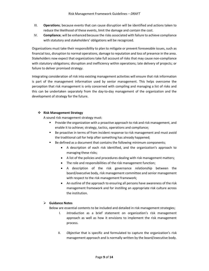- III. Operations; because events that can cause disruption will be identified and actions taken to reduce the likelihood of these events, limit the damage and contain the cost.
- IV. Compliance; will be enhanced because the risks associated with failure to achieve compliance with statutory and stakeholders' obligations will be recognized.

Organizations must take their responsibility to plan to mitigate or prevent foreseeable issues, such as financial loss, disruption to normal operations, damage to reputation and loss of presence in the area. Stakeholders now expect that organizations take full account of risks that may cause non-compliance with statutory obligations; disruption and inefficiency within operations; late delivery of projects; or failure to deliver promised strategy.

Integrating consideration of risk into existing management activities will ensure that risk information is part of the management information used by senior management. This helps overcome the perception that risk management is only concerned with compiling and managing a list of risks and this can be undertaken separately from the day-to-day management of the organization and the development of strategy for the future.

#### ❖ Risk Management Strategy

A sound risk management strategy must:

- Provide the organization with a proactive approach to risk and risk management, and enable it to achieve; strategy, tactics, operations and compliance;
- Be proactive in terms of from incident response to risk management and must avoid the traditional call for help after something has already happened;
- Be defined as a document that contains the following minimum components;
	- A description of each risk identified, and the organization's approach to managing these risks;
	- A list of the policies and procedures dealing with risk management matters;
	- The role and responsibilities of the risk management function;
	- A description of the risk governance relationship between the board/executive body, risk management committee and senior management with respect to the risk management framework;
	- An outline of the approach to ensuring all persons have awareness of the risk management framework and for instilling an appropriate risk culture across the institution.

#### $\triangleright$  Guidance Notes

Below are essential contents to be included and detailed in risk management strategies;

- I. Introduction as a brief statement on organization's risk management approach as well as how it envisions to implement the risk management process.
- II. Objective that is specific and formulated to capture the organization's risk management approach and is normally written by the board/executive body.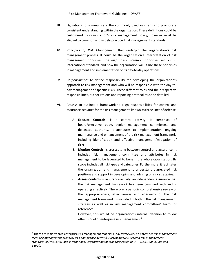- III. Definitions to communicate the commonly used risk terms to promote a consistent understanding within the organization. These definitions could be customized to organization's risk management policy, however must be aligned to common and widely practiced risk management standards.
- IV. Principles of Risk Management that underpin the organization's risk management process. It could be the organization's interpretation of risk management principles, the eight basic common principles set out in international standard, and how the organization will utilize these principles in management and implementation of its day-to-day operations.
- V. Responsibilities to define responsibility for developing the organization's approach to risk management and who will be responsible with the day-today management of specific risks. These different roles and their respective responsibilities, authorizations and reporting protocol must be detailed.
- VI. Process to outlines a framework to align responsibilities for control and assurance activities for the risk management, known as three lines of defense.
	- A. Execute Controls; is a control activity. It comprises of board/executive body, senior management committees, and delegated authority. It attributes to implementation, ongoing maintenance and enhancement of the risk management framework, including identification and effective management/mitigation of risks.
	- B. Monitor Controls; is crosscutting between control and assurance. It includes risk management committee and attributes in risk management to be leveraged to benefit the whole organization. Its scope includes all risk types and categories. Furthermore, it facilitates the organization and management to understand aggregated risk positions and support in developing and advising on risk strategies.
	- C. Assess Controls; is assurance activity, an independent assurance that the risk management framework has been complied with and is operating effectively. Therefore, a periodic comprehensive review of the appropriateness, effectiveness and adequacy of the risk management framework, is included in both in the risk management strategy as well as in risk management committees' terms of references.

However, this would be organization's internal decision to follow other model of enterprise risk management<sup>2</sup>.

1

<sup>&</sup>lt;sup>2</sup> There are mainly three enterprise risk management models; COSO framework on enterprise risk management (sees risk management primarily as a compliance activity), Australian/New Zealand risk management standard, AS/NZS 4360, and International Organization for Standardization (ISO) – ISO 31000, 31004 and 31010.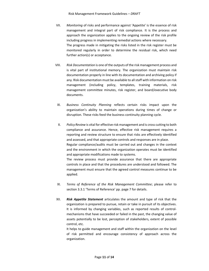- VII. Monitoring of risks and performance against 'Appetite' is the essence of risk management and integral part of risk compliance. It is the process and approach the organization applies to the ongoing review of the risk profile including progress in implementing remedial actions where necessary. The progress made in mitigating the risks listed in the risk register must be monitored regularly in order to determine the residual risk, which need further action(s) or acceptance.
- VIII. Risk Documentation is one of the outputs of the risk management process and is vital part of institutional memory. The organization must maintain risk documentation properly in line with its documentation and archiving policy if any. Risk documentation must be available to all staff with information on risk management (including policy, templates, training materials, risk management committee minutes, risk register, and board/executive body documents.
	- IX. Business Continuity Planning reflects certain risks impact upon the organization's ability to maintain operations during times of change or disruption. These risks feed the business continuity planning cycle.
	- X. Policy Review is vital for effective risk management and is cross cutting to both compliance and assurance. Hence, effective risk management requires a reporting and review structure to ensure that risks are effectively identified and assessed, and that appropriate controls and responses are in place. Regular compliance/audits must be carried out and changes in the context and the environment in which the organization operates must be identified and appropriate modifications made to systems. The review process must provide assurance that there are appropriate controls in place and that the procedures are understood and followed. The management must ensure that the agreed control measures continue to be
- XI. Terms of Reference of the Risk Management Committee; please refer to section 3.3.1 'Terms of Reference' pp. page 7 for details.

applied.

XII. Risk Appetite Statement articulates the amount and type of risk that the organization is prepared to pursue, retain or take in pursuit of its objectives. It is informed by changing variables, such as reported results of controlmechanisms that have succeeded or failed in the past, the changing value of assets potentially to be lost, perception of stakeholders, extent of possible control, etc.

It helps to guide management and staff within the organization on the level of risk permitted and encourage consistency of approach across the organization.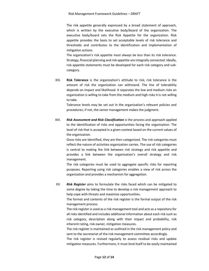The risk appetite generally expressed by a broad statement of approach, which is written by the executive body/board of the organization. The executive body/board sets the Risk Appetite for the organization. Risk appetite provides the basis to set acceptable levels of risk tolerance and thresholds and contributes to the identification and implementation of mitigation actions.

The organization's risk appetite must always be less than its risk tolerance. Strategy, financial planning and risk appetite are integrally connected. Ideally, risk appetite statements must be developed for each risk category and subcategory.

XIII. Risk Tolerance is the organization's attitude to risk; risk tolerance is the amount of risk the organization can withstand. The line of tolerability depends on impact and likelihood. It separates the low and medium risks an organization is willing to take from the medium and high risks it is not willing to take.

Tolerance levels may be set out in the organization's relevant policies and procedures; if not, the senior management makes the judgment.

XIV. **Risk Assessment and Risk Classification** is the process and approach applied to the identification of risks and opportunities facing the organization. The level of risk that is accepted in a given context based on the current values of the organization.

Once risks are identified, they are then categorized. The risk categories must reflect the nature of activities organization carries. The use of risk categories is central to making the link between risk strategy and risk appetite and provides a link between the organization's overall strategy and risk management.

The risk categories must be used to aggregate specific risks for reporting purposes. Reporting using risk categories enables a view of risk across the organization and provides a mechanism for aggregation.

XV. Risk Register aims to formulate the risks faced which can be mitigated to some degree by taking the time to develop a risk management approach to help cope with threats and maximize opportunities.

The format and contents of the risk register is the formal output of the risk management process.

The risk register is used as a risk management tool and acts as a repository for all risks identified and includes additional information about each risk such as risk category, description along with their impact and probability, risk inherent rating, risk owner, mitigation measures.

The risk register is maintained as outlined in the risk management policy and sent to the secretariat of the risk management committee accordingly.

The risk register is revised regularly to assess residual risks and update mitigation measures. Furthermore, it must lend itself to be easily maintained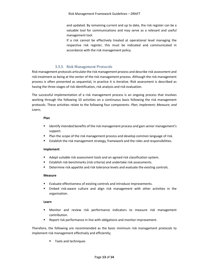and updated. By remaining current and up to date, the risk register can be a valuable tool for communications and may serve as a relevant and useful management tool.

If a risk cannot be effectively treated at operational level managing the respective risk register, this must be indicated and communicated in accordance with the risk management policy.

#### 3.3.3. Risk Management Protocols

Risk management protocols articulate the risk management process and describe risk assessment and risk treatment as being at the center of the risk management process. Although the risk management process is often presented as sequential, in practice it is iterative. Risk assessment is described as having the three stages of risk identification, risk analysis and risk evaluation.

The successful implementation of a risk management process is an ongoing process that involves working through the following 10 activities on a continuous basis following the risk management protocols. These activities relate to the following four components: Plan; Implement; Measure; and Learn;

#### Plan

- **IDENTIFY INTERTIFY INTERTIFY INTERTIFY INTERTIFY INTERTIFY INTERTATION I**ntertion management's support.
- **Plan the scope of the risk management process and develop common language of risk.**
- Establish the risk management strategy, framework and the roles and responsibilities.

#### Implement

- Adopt suitable risk assessment tools and an agreed risk classification system.
- Establish risk benchmarks (risk criteria) and undertake risk assessments.
- Determine risk appetite and risk tolerance levels and evaluate the existing controls.

#### Measure

- Evaluate effectiveness of existing controls and introduce improvements.
- Embed risk-aware culture and align risk management with other activities in the organization.

#### Learn

- Monitor and review risk performance indicators to measure risk management contribution.
- Report risk performance in line with obligations and monitor improvement.

Therefore, the following are recommended as the basic minimum risk management protocols to implement risk management effectively and efficiently;

**Tools and techniques**